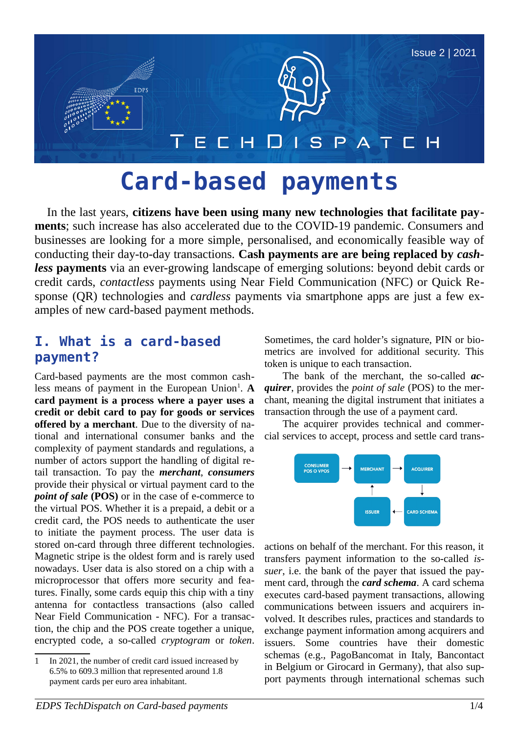

# **Card-based payments**

In the last years, **citizens have been using many new technologies that facilitate payments**; such increase has also accelerated due to the COVID-19 pandemic. Consumers and businesses are looking for a more simple, personalised, and economically feasible way of conducting their day-to-day transactions. **Cash payments are are being replaced by** *cashless* **payments** via an ever-growing landscape of emerging solutions: beyond debit cards or credit cards, *contactless* payments using Near Field Communication (NFC) or Quick Response (QR) technologies and *cardless* payments via smartphone apps are just a few examples of new card-based payment methods.

## <span id="page-0-1"></span>**I. What is a card-based payment?**

Card-based payments are the most common cash-less means of payment in the European Union<sup>[1](#page-0-0)</sup>. A **card payment is a process where a payer uses a credit or debit card to pay for goods or services offered by a merchant**. Due to the diversity of national and international consumer banks and the complexity of payment standards and regulations, a number of actors support the handling of digital retail transaction. To pay the *merchant*, *consumers* provide their physical or virtual payment card to the *point of sale* (POS) or in the case of e-commerce to the virtual POS. Whether it is a prepaid, a debit or a credit card, the POS needs to authenticate the user to initiate the payment process. The user data is stored on-card through three different technologies. Magnetic stripe is the oldest form and is rarely used nowadays. User data is also stored on a chip with a microprocessor that offers more security and features. Finally, some cards equip this chip with a tiny antenna for contactless transactions (also called Near Field Communication - NFC). For a transaction, the chip and the POS create together a unique, encrypted code, a so-called *cryptogram* or *token*. Sometimes, the card holder's signature, PIN or biometrics are involved for additional security. This token is unique to each transaction.

The bank of the merchant, the so-called *acquirer*, provides the *point of sale* (POS) to the merchant, meaning the digital instrument that initiates a transaction through the use of a payment card.

The acquirer provides technical and commercial services to accept, process and settle card trans-



actions on behalf of the merchant. For this reason, it transfers payment information to the so-called *issuer*, i.e. the bank of the payer that issued the payment card, through the *card schema*. A card schema executes card-based payment transactions, allowing communications between issuers and acquirers involved. It describes rules, practices and standards to exchange payment information among acquirers and issuers. Some countries have their domestic schemas (e.g., PagoBancomat in Italy, Bancontact in Belgium or Girocard in Germany), that also support payments through international schemas such

<span id="page-0-0"></span><sup>1</sup> In 2021, the number of credit card issued increased by 6.5% to 609.3 million that represented around 1.8 payment cards per euro area inhabitant.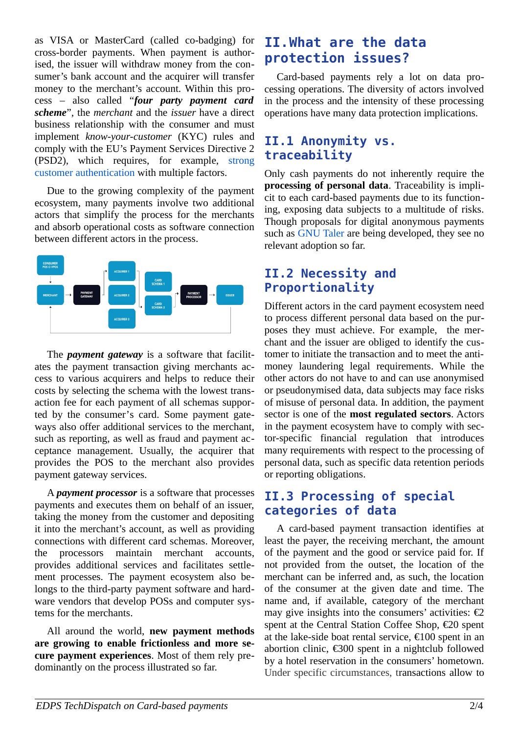as VISA or MasterCard (called co-badging) for cross-border payments. When payment is authorised, the issuer will withdraw money from the consumer's bank account and the acquirer will transfer money to the merchant's account. Within this process – also called "*four party payment card scheme*", the *merchant* and the *issuer* have a direct business relationship with the consumer and must implement *know-your-customer* (KYC) rules and comply with the EU's Payment Services Directive 2 (PSD2), which requires, for example, [strong](https://en.wikipedia.org/wiki/Strong_customer_authentication) [customer authentication](https://en.wikipedia.org/wiki/Strong_customer_authentication) with multiple factors.

Due to the growing complexity of the payment ecosystem, many payments involve two additional actors that simplify the process for the merchants and absorb operational costs as software connection between different actors in the process.



The *payment gateway* is a software that facilitates the payment transaction giving merchants access to various acquirers and helps to reduce their costs by selecting the schema with the lowest transaction fee for each payment of all schemas supported by the consumer's card. Some payment gateways also offer additional services to the merchant, such as reporting, as well as fraud and payment acceptance management. Usually, the acquirer that provides the POS to the merchant also provides payment gateway services.

A *payment processor* is a software that processes payments and executes them on behalf of an issuer, taking the money from the customer and depositing it into the merchant's account, as well as providing connections with different card schemas. Moreover, the processors maintain merchant accounts, provides additional services and facilitates settlement processes. The payment ecosystem also belongs to the third-party payment software and hardware vendors that develop POSs and computer systems for the merchants.

All around the world, **new payment methods are growing to enable frictionless and more secure payment experiences**. Most of them rely predominantly on the process illustrated so far.

# **II.What are the data protection issues?**

Card-based payments rely a lot on data processing operations. The diversity of actors involved in the process and the intensity of these processing operations have many data protection implications.

## **II.1 Anonymity vs. traceability**

Only cash payments do not inherently require the **processing of personal data**. Traceability is implicit to each card-based payments due to its functioning, exposing data subjects to a multitude of risks. Though proposals for digital anonymous payments such as [GNU Taler](https://taler.net/) are being developed, they see no relevant adoption so far.

## **II.2 Necessity and Proportionality**

Different actors in the card payment ecosystem need to process different personal data based on the purposes they must achieve. For example, the merchant and the issuer are obliged to identify the customer to initiate the transaction and to meet the antimoney laundering legal requirements. While the other actors do not have to and can use anonymised or pseudonymised data, data subjects may face risks of misuse of personal data. In addition, the payment sector is one of the **most regulated sectors**. Actors in the payment ecosystem have to comply with sector-specific financial regulation that introduces many requirements with respect to the processing of personal data, such as specific data retention periods or reporting obligations.

## <span id="page-1-0"></span>**II.3 Processing of special categories of data**

A card-based payment transaction identifies at least the payer, the receiving merchant, the amount of the payment and the good or service paid for. If not provided from the outset, the location of the merchant can be inferred and, as such, the location of the consumer at the given date and time. The name and, if available, category of the merchant may give insights into the consumers' activities:  $\epsilon$ 2 spent at the Central Station Coffee Shop, €20 spent at the lake-side boat rental service, €100 spent in an abortion clinic, €300 spent in a nightclub followed by a hotel reservation in the consumers' hometown. Under specific circumstances, transactions allow to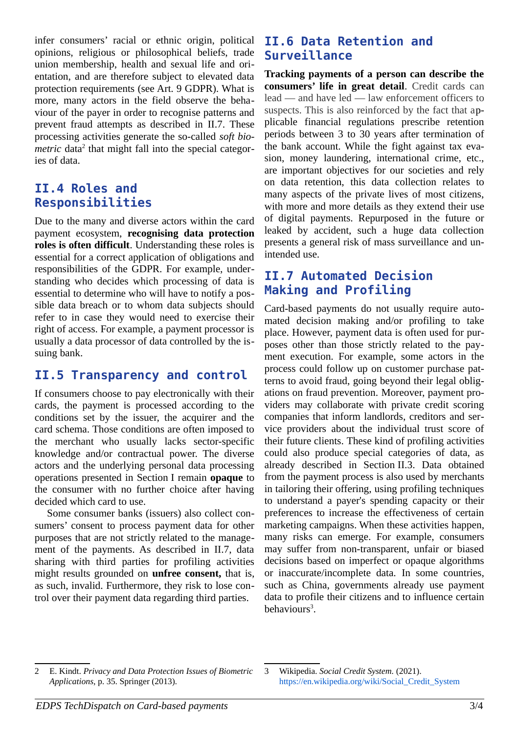infer consumers' racial or ethnic origin, political opinions, religious or philosophical beliefs, trade union membership, health and sexual life and orientation, and are therefore subject to elevated data protection requirements (see Art. 9 GDPR). What is more, many actors in the field observe the behaviour of the payer in order to recognise patterns and prevent fraud attempts as described in II.7. These processing activities generate the so-called *soft bio-*metric data<sup>[2](#page-2-0)</sup> that might fall into the special categories of data.

#### **II.4 Roles and Responsibilities**

Due to the many and diverse actors within the card payment ecosystem, **recognising data protection roles is often difficult**. Understanding these roles is essential for a correct application of obligations and responsibilities of the GDPR. For example, understanding who decides which processing of data is essential to determine who will have to notify a possible data breach or to whom data subjects should refer to in case they would need to exercise their right of access. For example, a payment processor is usually a data processor of data controlled by the issuing bank.

#### **II.5 Transparency and control**

If consumers choose to pay electronically with their cards, the payment is processed according to the conditions set by the issuer, the acquirer and the card schema. Those conditions are often imposed to the merchant who usually lacks sector-specific knowledge and/or contractual power. The diverse actors and the underlying personal data processing operations presented in Section [I](#page-0-1) remain **opaque** to the consumer with no further choice after having decided which card to use.

Some consumer banks (issuers) also collect consumers' consent to process payment data for other purposes that are not strictly related to the management of the payments. As described in II.7, data sharing with third parties for profiling activities might results grounded on **unfree consent,** that is, as such, invalid. Furthermore, they risk to lose control over their payment data regarding third parties.

#### **II.6 Data Retention and Surveillance**

**Tracking payments of a person can describe the consumers' life in great detail**. Credit cards can lead — and have led — law enforcement officers to suspects. This is also reinforced by the fact that applicable financial regulations prescribe retention periods between 3 to 30 years after termination of the bank account. While the fight against tax evasion, money laundering, international crime, etc., are important objectives for our societies and rely on data retention, this data collection relates to many aspects of the private lives of most citizens, with more and more details as they extend their use of digital payments. Repurposed in the future or leaked by accident, such a huge data collection presents a general risk of mass surveillance and unintended use.

#### **II.7 Automated Decision Making and Profiling**

Card-based payments do not usually require automated decision making and/or profiling to take place. However, payment data is often used for purposes other than those strictly related to the payment execution. For example, some actors in the process could follow up on customer purchase patterns to avoid fraud, going beyond their legal obligations on fraud prevention. Moreover, payment providers may collaborate with private credit scoring companies that inform landlords, creditors and service providers about the individual trust score of their future clients. These kind of profiling activities could also produce special categories of data, as already described in Section [II.3](#page-1-0). Data obtained from the payment process is also used by merchants in tailoring their offering, using profiling techniques to understand a payer's spending capacity or their preferences to increase the effectiveness of certain marketing campaigns. When these activities happen, many risks can emerge. For example, consumers may suffer from non-transparent, unfair or biased decisions based on imperfect or opaque algorithms or inaccurate/incomplete data. In some countries, such as China, governments already use payment data to profile their citizens and to influence certain behaviours [3](#page-2-1) .

<span id="page-2-0"></span><sup>2</sup> E. Kindt. *Privacy and Data Protection Issues of Biometric Applications*, p. 35. Springer (2013).

<span id="page-2-1"></span><sup>3</sup> Wikipedia. *Social Credit System.* (2021). [https://en.wikipedia.org/wiki/Social\\_Credit\\_System](https://en.wikipedia.org/wiki/Social_Credit_System)